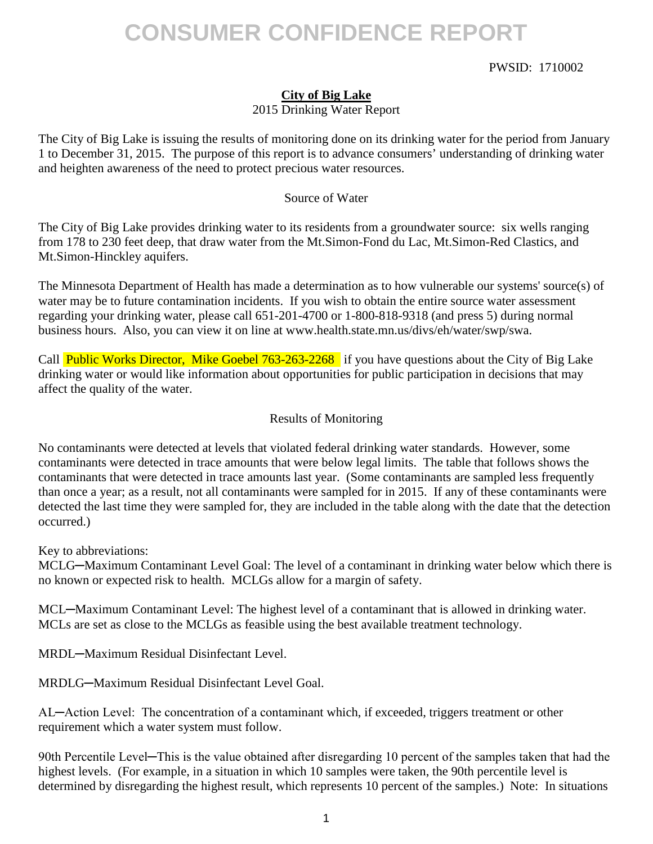### PWSID: 1710002

## **City of Big Lake** 2015 Drinking Water Report

The City of Big Lake is issuing the results of monitoring done on its drinking water for the period from January 1 to December 31, 2015. The purpose of this report is to advance consumers' understanding of drinking water and heighten awareness of the need to protect precious water resources.

#### Source of Water

The City of Big Lake provides drinking water to its residents from a groundwater source: six wells ranging from 178 to 230 feet deep, that draw water from the Mt.Simon-Fond du Lac, Mt.Simon-Red Clastics, and Mt.Simon-Hinckley aquifers.

The Minnesota Department of Health has made a determination as to how vulnerable our systems' source(s) of water may be to future contamination incidents. If you wish to obtain the entire source water assessment regarding your drinking water, please call 651-201-4700 or 1-800-818-9318 (and press 5) during normal business hours. Also, you can view it on line at www.health.state.mn.us/divs/eh/water/swp/swa.

Call Public Works Director, Mike Goebel 763-263-2268 if you have questions about the City of Big Lake drinking water or would like information about opportunities for public participation in decisions that may affect the quality of the water.

### Results of Monitoring

No contaminants were detected at levels that violated federal drinking water standards. However, some contaminants were detected in trace amounts that were below legal limits. The table that follows shows the contaminants that were detected in trace amounts last year. (Some contaminants are sampled less frequently than once a year; as a result, not all contaminants were sampled for in 2015. If any of these contaminants were detected the last time they were sampled for, they are included in the table along with the date that the detection occurred.)

Key to abbreviations:

MCLG—Maximum Contaminant Level Goal: The level of a contaminant in drinking water below which there is no known or expected risk to health. MCLGs allow for a margin of safety.

MCL─Maximum Contaminant Level: The highest level of a contaminant that is allowed in drinking water. MCLs are set as close to the MCLGs as feasible using the best available treatment technology.

MRDL─Maximum Residual Disinfectant Level.

MRDLG─Maximum Residual Disinfectant Level Goal.

AL─Action Level: The concentration of a contaminant which, if exceeded, triggers treatment or other requirement which a water system must follow.

90th Percentile Level—This is the value obtained after disregarding 10 percent of the samples taken that had the highest levels. (For example, in a situation in which 10 samples were taken, the 90th percentile level is determined by disregarding the highest result, which represents 10 percent of the samples.) Note: In situations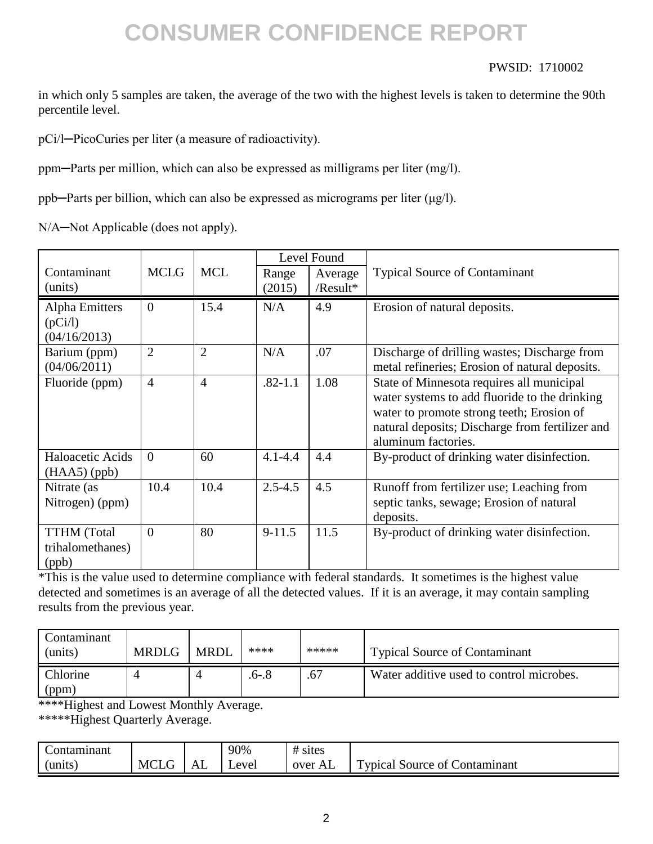### PWSID: 1710002

in which only 5 samples are taken, the average of the two with the highest levels is taken to determine the 90th percentile level.

pCi/l─PicoCuries per liter (a measure of radioactivity).

ppm─Parts per million, which can also be expressed as milligrams per liter (mg/l).

ppb─Parts per billion, which can also be expressed as micrograms per liter (μg/l).

N/A-Not Applicable (does not apply).

|                                                 | Level Found    |                |                 |                     |                                                                                                                                                                                                                   |
|-------------------------------------------------|----------------|----------------|-----------------|---------------------|-------------------------------------------------------------------------------------------------------------------------------------------------------------------------------------------------------------------|
| Contaminant<br>(units)                          | <b>MCLG</b>    | <b>MCL</b>     | Range<br>(2015) | Average<br>/Result* | <b>Typical Source of Contaminant</b>                                                                                                                                                                              |
| Alpha Emitters<br>(pCi/l)<br>(04/16/2013)       | $\theta$       | 15.4           | N/A             | 4.9                 | Erosion of natural deposits.                                                                                                                                                                                      |
| Barium (ppm)<br>(04/06/2011)                    | $\overline{2}$ | $\overline{2}$ | N/A             | .07                 | Discharge of drilling wastes; Discharge from<br>metal refineries; Erosion of natural deposits.                                                                                                                    |
| Fluoride (ppm)                                  | $\overline{4}$ | $\overline{4}$ | $.82 - 1.1$     | 1.08                | State of Minnesota requires all municipal<br>water systems to add fluoride to the drinking<br>water to promote strong teeth; Erosion of<br>natural deposits; Discharge from fertilizer and<br>aluminum factories. |
| Haloacetic Acids<br>$(HAA5)$ (ppb)              | $\Omega$       | 60             | $4.1 - 4.4$     | 4.4                 | By-product of drinking water disinfection.                                                                                                                                                                        |
| Nitrate (as<br>Nitrogen) (ppm)                  | 10.4           | 10.4           | $2.5 - 4.5$     | 4.5                 | Runoff from fertilizer use; Leaching from<br>septic tanks, sewage; Erosion of natural<br>deposits.                                                                                                                |
| <b>TTHM</b> (Total<br>trihalomethanes)<br>(ppb) | $\theta$       | 80             | $9 - 11.5$      | 11.5                | By-product of drinking water disinfection.                                                                                                                                                                        |

\*This is the value used to determine compliance with federal standards. It sometimes is the highest value detected and sometimes is an average of all the detected values. If it is an average, it may contain sampling results from the previous year.

| Contaminant<br>(units) | <b>MRDLG</b> | <b>MRDL</b> | ****      | ***** | <b>Typical Source of Contaminant</b>     |
|------------------------|--------------|-------------|-----------|-------|------------------------------------------|
| Chlorine<br>(ppm)      |              |             | $.6 - .8$ | .67   | Water additive used to control microbes. |

\*\*\*\*Highest and Lowest Monthly Average.

\*\*\*\*\*Highest Quarterly Average.

| ∽<br>`tamınant<br>м |             |         | 90%  | sites<br>$^{\prime\prime}$ |                                                                   |
|---------------------|-------------|---------|------|----------------------------|-------------------------------------------------------------------|
| units :             | <b>MCLG</b> | Δ<br>שב | evel | over<br>AL                 | $\overline{\phantom{a}}$<br>Contamınant<br>voical<br>ΟĪ<br>Source |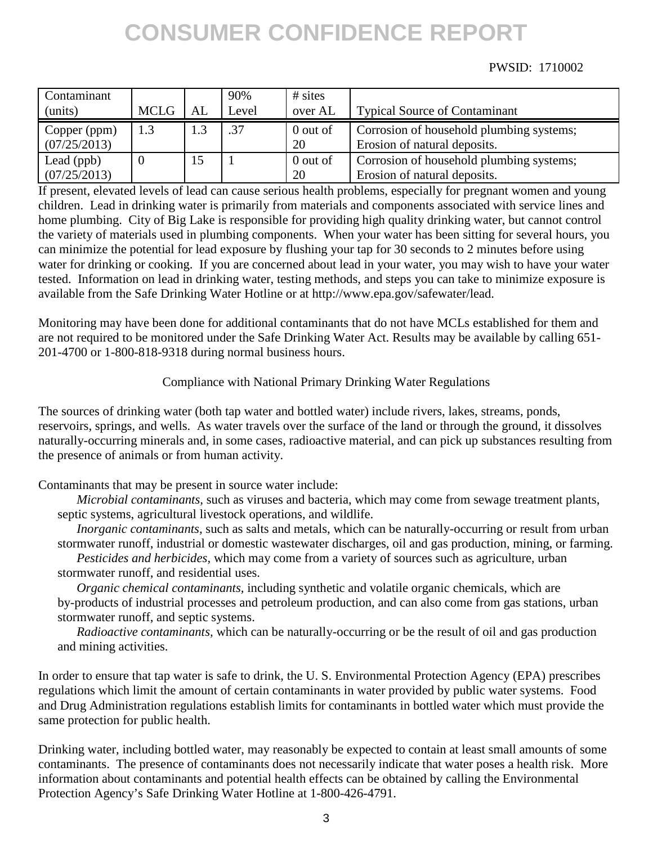### PWSID: 1710002

| Contaminant<br>(units)       | <b>MCLG</b> | AL  | 90%<br>Level | $#$ sites<br>over AL | <b>Typical Source of Contaminant</b>                                     |
|------------------------------|-------------|-----|--------------|----------------------|--------------------------------------------------------------------------|
| Copper (ppm)<br>(07/25/2013) | 1.3         | 1.3 | .37          | 0 out of<br>20       | Corrosion of household plumbing systems;<br>Erosion of natural deposits. |
| Lead (ppb)<br>(07/25/2013)   |             | 15  |              | 0 out of<br>20       | Corrosion of household plumbing systems;<br>Erosion of natural deposits. |

If present, elevated levels of lead can cause serious health problems, especially for pregnant women and young children. Lead in drinking water is primarily from materials and components associated with service lines and home plumbing. City of Big Lake is responsible for providing high quality drinking water, but cannot control the variety of materials used in plumbing components. When your water has been sitting for several hours, you can minimize the potential for lead exposure by flushing your tap for 30 seconds to 2 minutes before using water for drinking or cooking. If you are concerned about lead in your water, you may wish to have your water tested. Information on lead in drinking water, testing methods, and steps you can take to minimize exposure is available from the Safe Drinking Water Hotline or at http://www.epa.gov/safewater/lead.

Monitoring may have been done for additional contaminants that do not have MCLs established for them and are not required to be monitored under the Safe Drinking Water Act. Results may be available by calling 651- 201-4700 or 1-800-818-9318 during normal business hours.

### Compliance with National Primary Drinking Water Regulations

The sources of drinking water (both tap water and bottled water) include rivers, lakes, streams, ponds, reservoirs, springs, and wells. As water travels over the surface of the land or through the ground, it dissolves naturally-occurring minerals and, in some cases, radioactive material, and can pick up substances resulting from the presence of animals or from human activity.

Contaminants that may be present in source water include:

*Microbial contaminants,* such as viruses and bacteria, which may come from sewage treatment plants, septic systems, agricultural livestock operations, and wildlife.

*Inorganic contaminants,* such as salts and metals, which can be naturally-occurring or result from urban stormwater runoff, industrial or domestic wastewater discharges, oil and gas production, mining, or farming.

*Pesticides and herbicides,* which may come from a variety of sources such as agriculture, urban stormwater runoff, and residential uses.

*Organic chemical contaminants,* including synthetic and volatile organic chemicals, which are by-products of industrial processes and petroleum production, and can also come from gas stations, urban stormwater runoff, and septic systems.

*Radioactive contaminants,* which can be naturally-occurring or be the result of oil and gas production and mining activities.

In order to ensure that tap water is safe to drink, the U. S. Environmental Protection Agency (EPA) prescribes regulations which limit the amount of certain contaminants in water provided by public water systems. Food and Drug Administration regulations establish limits for contaminants in bottled water which must provide the same protection for public health.

Drinking water, including bottled water, may reasonably be expected to contain at least small amounts of some contaminants. The presence of contaminants does not necessarily indicate that water poses a health risk. More information about contaminants and potential health effects can be obtained by calling the Environmental Protection Agency's Safe Drinking Water Hotline at 1-800-426-4791.